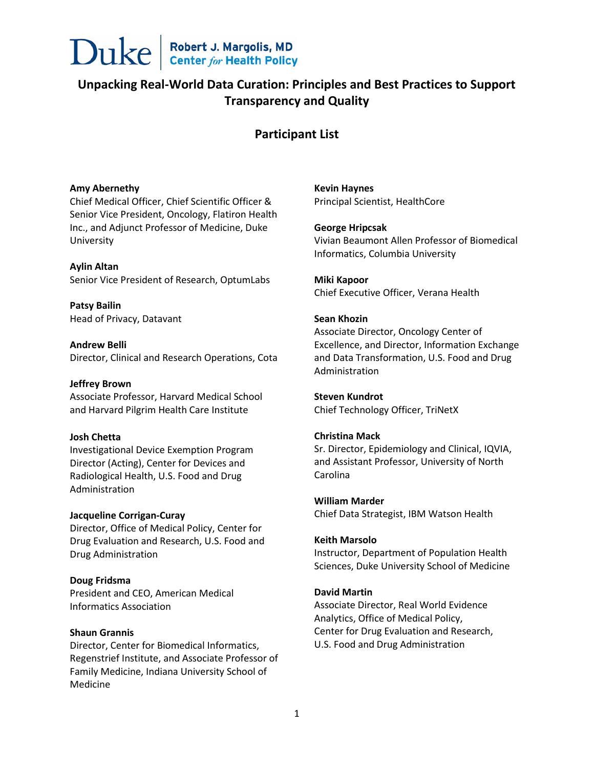

# **Unpacking Real-World Data Curation: Principles and Best Practices to Support Transparency and Quality**

# **Participant List**

# **Amy Abernethy**

Chief Medical Officer, Chief Scientific Officer & Senior Vice President, Oncology, Flatiron Health Inc., and Adjunct Professor of Medicine, Duke University

#### **Aylin Altan**

Senior Vice President of Research, OptumLabs

**Patsy Bailin** Head of Privacy, Datavant

**Andrew Belli** Director, Clinical and Research Operations, Cota

### **Jeffrey Brown**

Associate Professor, Harvard Medical School and Harvard Pilgrim Health Care Institute

# **Josh Chetta**

Investigational Device Exemption Program Director (Acting), Center for Devices and Radiological Health, U.S. Food and Drug Administration

# **Jacqueline Corrigan-Curay**

Director, Office of Medical Policy, Center for Drug Evaluation and Research, U.S. Food and Drug Administration

#### **Doug Fridsma**

President and CEO, American Medical Informatics Association

# **Shaun Grannis**

Director, Center for Biomedical Informatics, Regenstrief Institute, and Associate Professor of Family Medicine, Indiana University School of Medicine

**Kevin Haynes** Principal Scientist, HealthCore

# **George Hripcsak**

Vivian Beaumont Allen Professor of Biomedical Informatics, Columbia University

**Miki Kapoor** Chief Executive Officer, Verana Health

# **Sean Khozin**

Associate Director, Oncology Center of Excellence, and Director, Information Exchange and Data Transformation, U.S. Food and Drug Administration

# **Steven Kundrot**

Chief Technology Officer, TriNetX

# **Christina Mack**

Sr. Director, Epidemiology and Clinical, IQVIA, and Assistant Professor, University of North Carolina

### **William Marder**

Chief Data Strategist, IBM Watson Health

#### **Keith Marsolo**

Instructor, Department of Population Health Sciences, Duke University School of Medicine

# **David Martin**

Associate Director, Real World Evidence Analytics, Office of Medical Policy, Center for Drug Evaluation and Research, U.S. Food and Drug Administration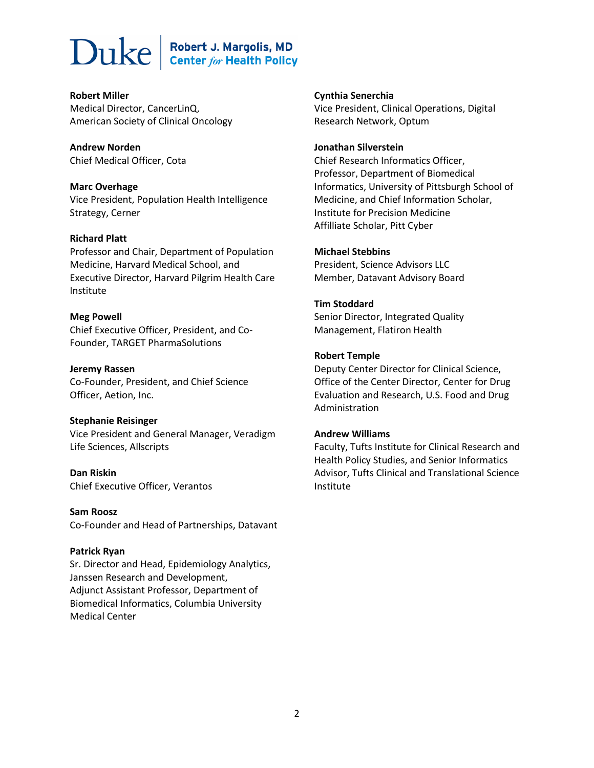# Duke

# Robert J. Margolis, MD<br>Center for Health Policy

**Robert Miller** Medical Director, CancerLinQ, American Society of Clinical Oncology

**Andrew Norden** Chief Medical Officer, Cota

**Marc Overhage** Vice President, Population Health Intelligence Strategy, Cerner

# **Richard Platt**

Professor and Chair, Department of Population Medicine, Harvard Medical School, and Executive Director, Harvard Pilgrim Health Care Institute

# **Meg Powell**

Chief Executive Officer, President, and Co-Founder, TARGET PharmaSolutions

**Jeremy Rassen** Co-Founder, President, and Chief Science Officer, Aetion, Inc.

# **Stephanie Reisinger**

Vice President and General Manager, Veradigm Life Sciences, Allscripts

**Dan Riskin** Chief Executive Officer, Verantos

**Sam Roosz** Co-Founder and Head of Partnerships, Datavant

# **Patrick Ryan**

Sr. Director and Head, Epidemiology Analytics, Janssen Research and Development, Adjunct Assistant Professor, Department of Biomedical Informatics, Columbia University Medical Center

**Cynthia Senerchia** Vice President, Clinical Operations, Digital Research Network, Optum

# **Jonathan Silverstein**

Chief Research Informatics Officer, Professor, Department of Biomedical Informatics, University of Pittsburgh School of Medicine, and Chief Information Scholar, Institute for Precision Medicine Affilliate Scholar, Pitt Cyber

# **Michael Stebbins**

President, Science Advisors LLC Member, Datavant Advisory Board

# **Tim Stoddard**

Senior Director, Integrated Quality Management, Flatiron Health

# **Robert Temple**

Deputy Center Director for Clinical Science, Office of the Center Director, Center for Drug Evaluation and Research, U.S. Food and Drug Administration

# **Andrew Williams**

Faculty, Tufts Institute for Clinical Research and Health Policy Studies, and Senior Informatics Advisor, Tufts Clinical and Translational Science Institute